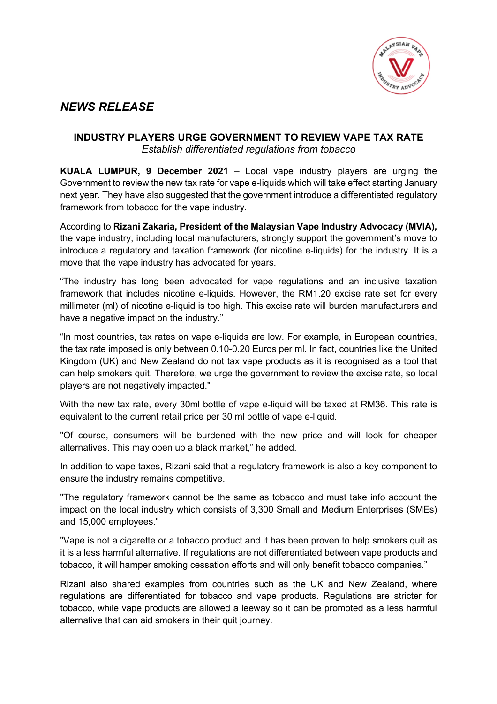

## *NEWS RELEASE*

## **INDUSTRY PLAYERS URGE GOVERNMENT TO REVIEW VAPE TAX RATE** *Establish differentiated regulations from tobacco*

**KUALA LUMPUR, 9 December 2021** – Local vape industry players are urging the Government to review the new tax rate for vape e-liquids which will take effect starting January next year. They have also suggested that the government introduce a differentiated regulatory framework from tobacco for the vape industry.

According to **Rizani Zakaria, President of the Malaysian Vape Industry Advocacy (MVIA),** the vape industry, including local manufacturers, strongly support the government's move to introduce a regulatory and taxation framework (for nicotine e-liquids) for the industry. It is a move that the vape industry has advocated for years.

"The industry has long been advocated for vape regulations and an inclusive taxation framework that includes nicotine e-liquids. However, the RM1.20 excise rate set for every millimeter (ml) of nicotine e-liquid is too high. This excise rate will burden manufacturers and have a negative impact on the industry."

"In most countries, tax rates on vape e-liquids are low. For example, in European countries, the tax rate imposed is only between 0.10-0.20 Euros per ml. In fact, countries like the United Kingdom (UK) and New Zealand do not tax vape products as it is recognised as a tool that can help smokers quit. Therefore, we urge the government to review the excise rate, so local players are not negatively impacted."

With the new tax rate, every 30ml bottle of vape e-liquid will be taxed at RM36. This rate is equivalent to the current retail price per 30 ml bottle of vape e-liquid.

"Of course, consumers will be burdened with the new price and will look for cheaper alternatives. This may open up a black market," he added.

In addition to vape taxes, Rizani said that a regulatory framework is also a key component to ensure the industry remains competitive.

"The regulatory framework cannot be the same as tobacco and must take info account the impact on the local industry which consists of 3,300 Small and Medium Enterprises (SMEs) and 15,000 employees."

"Vape is not a cigarette or a tobacco product and it has been proven to help smokers quit as it is a less harmful alternative. If regulations are not differentiated between vape products and tobacco, it will hamper smoking cessation efforts and will only benefit tobacco companies."

Rizani also shared examples from countries such as the UK and New Zealand, where regulations are differentiated for tobacco and vape products. Regulations are stricter for tobacco, while vape products are allowed a leeway so it can be promoted as a less harmful alternative that can aid smokers in their quit journey.